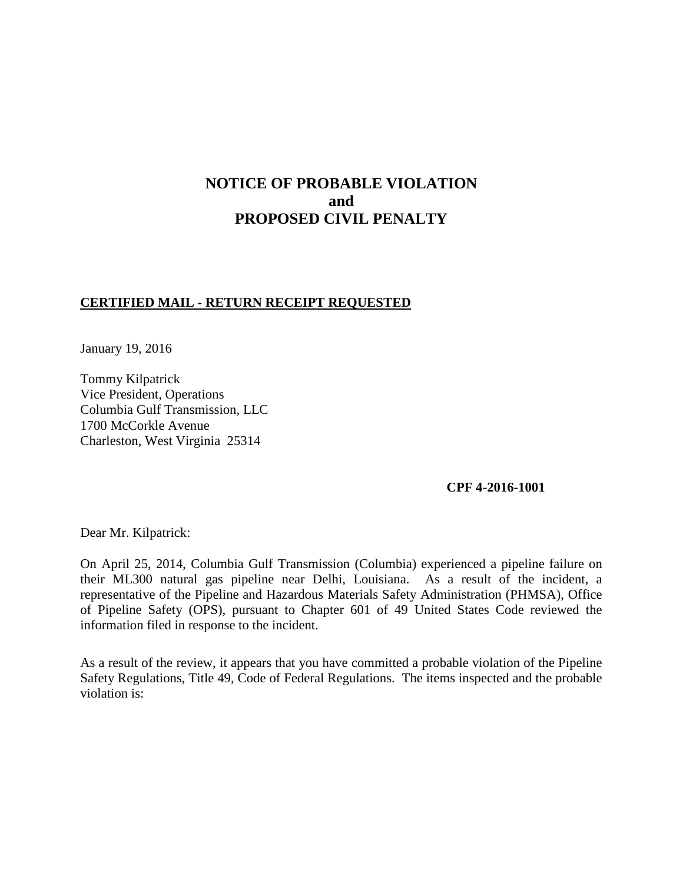# **NOTICE OF PROBABLE VIOLATION and PROPOSED CIVIL PENALTY**

## **CERTIFIED MAIL - RETURN RECEIPT REQUESTED**

January 19, 2016

Tommy Kilpatrick Vice President, Operations Columbia Gulf Transmission, LLC 1700 McCorkle Avenue Charleston, West Virginia 25314

#### **CPF 4-2016-1001**

Dear Mr. Kilpatrick:

On April 25, 2014, Columbia Gulf Transmission (Columbia) experienced a pipeline failure on their ML300 natural gas pipeline near Delhi, Louisiana. As a result of the incident, a representative of the Pipeline and Hazardous Materials Safety Administration (PHMSA), Office of Pipeline Safety (OPS), pursuant to Chapter 601 of 49 United States Code reviewed the information filed in response to the incident.

As a result of the review, it appears that you have committed a probable violation of the Pipeline Safety Regulations, Title 49, Code of Federal Regulations. The items inspected and the probable violation is: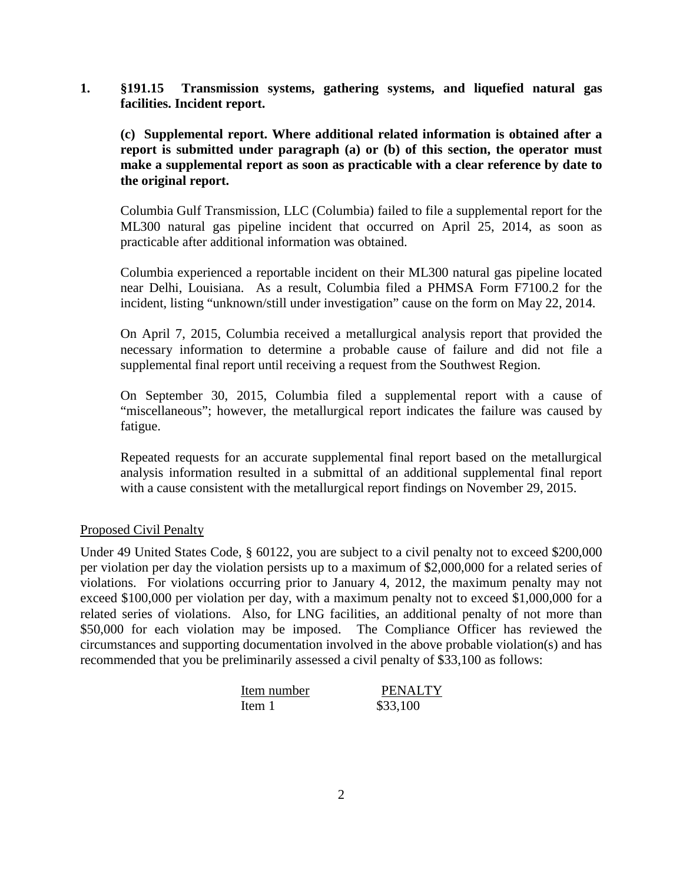**1. §191.15 Transmission systems, gathering systems, and liquefied natural gas facilities. Incident report.**

**(c) Supplemental report. Where additional related information is obtained after a report is submitted under paragraph (a) or (b) of this section, the operator must make a supplemental report as soon as practicable with a clear reference by date to the original report.**

Columbia Gulf Transmission, LLC (Columbia) failed to file a supplemental report for the ML300 natural gas pipeline incident that occurred on April 25, 2014, as soon as practicable after additional information was obtained.

Columbia experienced a reportable incident on their ML300 natural gas pipeline located near Delhi, Louisiana. As a result, Columbia filed a PHMSA Form F7100.2 for the incident, listing "unknown/still under investigation" cause on the form on May 22, 2014.

On April 7, 2015, Columbia received a metallurgical analysis report that provided the necessary information to determine a probable cause of failure and did not file a supplemental final report until receiving a request from the Southwest Region.

On September 30, 2015, Columbia filed a supplemental report with a cause of "miscellaneous"; however, the metallurgical report indicates the failure was caused by fatigue.

Repeated requests for an accurate supplemental final report based on the metallurgical analysis information resulted in a submittal of an additional supplemental final report with a cause consistent with the metallurgical report findings on November 29, 2015.

### Proposed Civil Penalty

Under 49 United States Code, § 60122, you are subject to a civil penalty not to exceed \$200,000 per violation per day the violation persists up to a maximum of \$2,000,000 for a related series of violations. For violations occurring prior to January 4, 2012, the maximum penalty may not exceed \$100,000 per violation per day, with a maximum penalty not to exceed \$1,000,000 for a related series of violations. Also, for LNG facilities, an additional penalty of not more than \$50,000 for each violation may be imposed. The Compliance Officer has reviewed the circumstances and supporting documentation involved in the above probable violation(s) and has recommended that you be preliminarily assessed a civil penalty of \$33,100 as follows:

| Item number | <b>PENALTY</b> |
|-------------|----------------|
| Item 1      | \$33,100       |